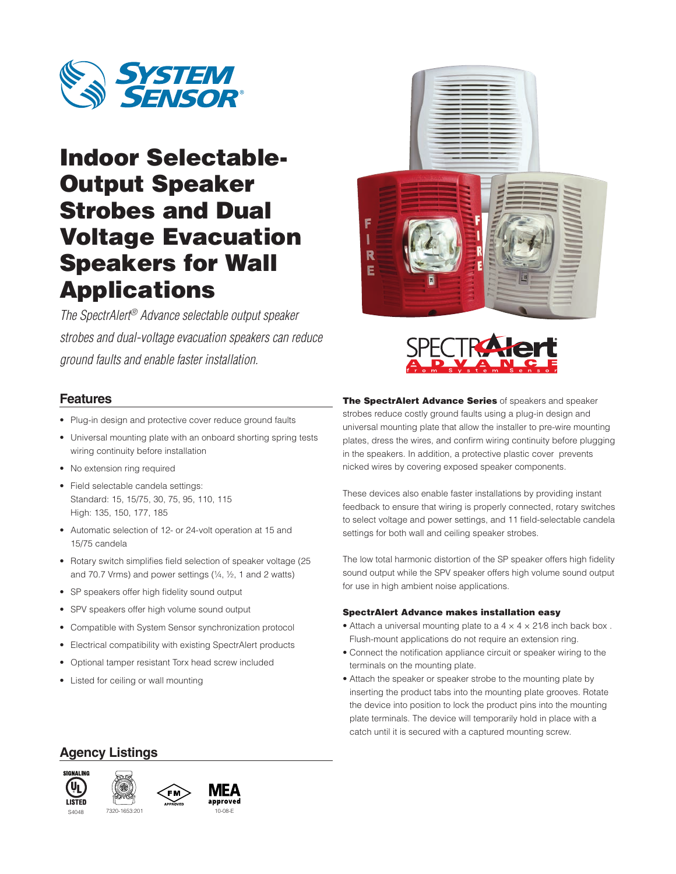

# Indoor Selectable-Output Speaker Strobes and Dual Voltage Evacuation Speakers for Wall Applications

*The SpectrAlert® Advance selectable output speaker strobes and dual-voltage evacuation speakers can reduce ground faults and enable faster installation.*



- Plug-in design and protective cover reduce ground faults
- Universal mounting plate with an onboard shorting spring tests wiring continuity before installation
- No extension ring required
- Field selectable candela settings: Standard: 15, 15/75, 30, 75, 95, 110, 115 High: 135, 150, 177, 185
- Automatic selection of 12- or 24-volt operation at 15 and 15/75 candela
- Rotary switch simplifies field selection of speaker voltage (25 and 70.7 Vrms) and power settings  $(1/4, 1/2, 1)$  and 2 watts)
- SP speakers offer high fidelity sound output
- SPV speakers offer high volume sound output
- Compatible with System Sensor synchronization protocol
- Electrical compatibility with existing SpectrAlert products
- Optional tamper resistant Torx head screw included
- Listed for ceiling or wall mounting





The SpectrAlert Advance Series of speakers and speaker strobes reduce costly ground faults using a plug-in design and universal mounting plate that allow the installer to pre-wire mounting plates, dress the wires, and confirm wiring continuity before plugging in the speakers. In addition, a protective plastic cover prevents nicked wires by covering exposed speaker components.

These devices also enable faster installations by providing instant feedback to ensure that wiring is properly connected, rotary switches to select voltage and power settings, and 11 field-selectable candela settings for both wall and ceiling speaker strobes.

The low total harmonic distortion of the SP speaker offers high fidelity sound output while the SPV speaker offers high volume sound output for use in high ambient noise applications.

#### SpectrAlert Advance makes installation easy

- Attach a universal mounting plate to a  $4 \times 4 \times 21/8$  inch back box. Flush-mount applications do not require an extension ring.
- Connect the notification appliance circuit or speaker wiring to the terminals on the mounting plate.
- Attach the speaker or speaker strobe to the mounting plate by inserting the product tabs into the mounting plate grooves. Rotate the device into position to lock the product pins into the mounting plate terminals. The device will temporarily hold in place with a catch until it is secured with a captured mounting screw.

### **Agency Listings**





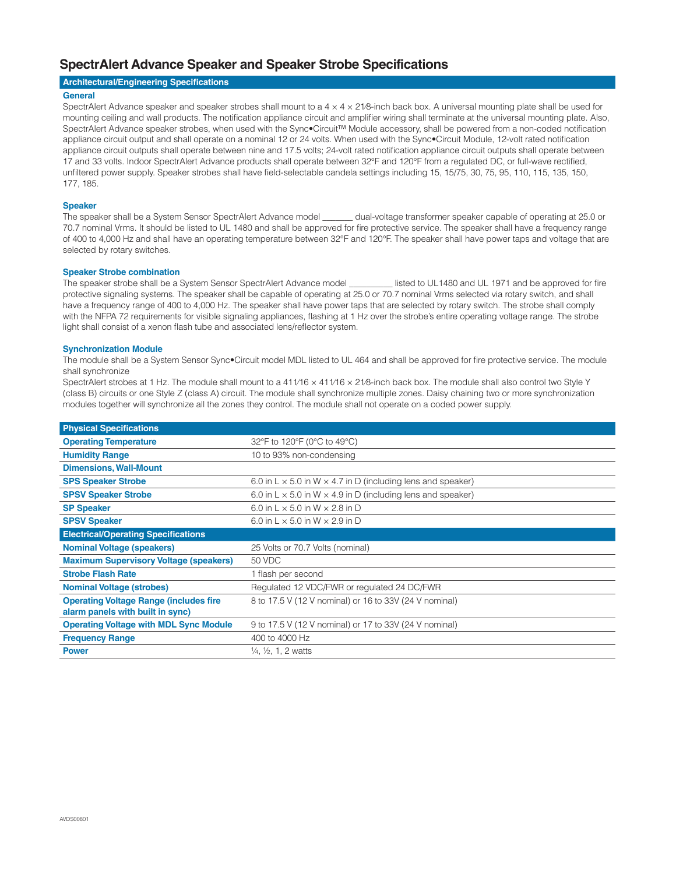### **SpectrAlert Advance Speaker and Speaker Strobe Specifications**

#### **Architectural/Engineering Specifications**

#### **General**

SpectrAlert Advance speaker and speaker strobes shall mount to a  $4 \times 4 \times 21/8$ -inch back box. A universal mounting plate shall be used for mounting ceiling and wall products. The notification appliance circuit and amplifier wiring shall terminate at the universal mounting plate. Also, SpectrAlert Advance speaker strobes, when used with the Sync•Circuit™ Module accessory, shall be powered from a non-coded notification appliance circuit output and shall operate on a nominal 12 or 24 volts. When used with the Sync•Circuit Module, 12-volt rated notification appliance circuit outputs shall operate between nine and 17.5 volts; 24-volt rated notification appliance circuit outputs shall operate between 17 and 33 volts. Indoor SpectrAlert Advance products shall operate between 32°F and 120°F from a regulated DC, or full-wave rectified, unfiltered power supply. Speaker strobes shall have field-selectable candela settings including 15, 15/75, 30, 75, 95, 110, 115, 135, 150, 177, 185.

#### **Speaker**

The speaker shall be a System Sensor SpectrAlert Advance model \_\_\_\_\_\_\_ dual-voltage transformer speaker capable of operating at 25.0 or 70.7 nominal Vrms. It should be listed to UL 1480 and shall be approved for fire protective service. The speaker shall have a frequency range of 400 to 4,000 Hz and shall have an operating temperature between 32°F and 120°F. The speaker shall have power taps and voltage that are selected by rotary switches.

#### **Speaker Strobe combination**

The speaker strobe shall be a System Sensor SpectrAlert Advance model listed to UL1480 and UL 1971 and be approved for fire protective signaling systems. The speaker shall be capable of operating at 25.0 or 70.7 nominal Vrms selected via rotary switch, and shall have a frequency range of 400 to 4,000 Hz. The speaker shall have power taps that are selected by rotary switch. The strobe shall comply with the NFPA 72 requirements for visible signaling appliances, flashing at 1 Hz over the strobe's entire operating voltage range. The strobe light shall consist of a xenon flash tube and associated lens/reflector system.

#### **Synchronization Module**

The module shall be a System Sensor Sync•Circuit model MDL listed to UL 464 and shall be approved for fire protective service. The module shall synchronize

SpectrAlert strobes at 1 Hz. The module shall mount to a 411/16 x 411/16 x 21/8-inch back box. The module shall also control two Style Y (class B) circuits or one Style Z (class A) circuit. The module shall synchronize multiple zones. Daisy chaining two or more synchronization modules together will synchronize all the zones they control. The module shall not operate on a coded power supply.

| <b>Physical Specifications</b>                |                                                                           |  |
|-----------------------------------------------|---------------------------------------------------------------------------|--|
| <b>Operating Temperature</b>                  | 32°F to 120°F (0°C to 49°C)                                               |  |
| <b>Humidity Range</b>                         | 10 to 93% non-condensing                                                  |  |
| <b>Dimensions, Wall-Mount</b>                 |                                                                           |  |
| <b>SPS Speaker Strobe</b>                     | 6.0 in L $\times$ 5.0 in W $\times$ 4.7 in D (including lens and speaker) |  |
| <b>SPSV Speaker Strobe</b>                    | 6.0 in L $\times$ 5.0 in W $\times$ 4.9 in D (including lens and speaker) |  |
| <b>SP Speaker</b>                             | 6.0 in $L \times 5.0$ in W $\times$ 2.8 in D                              |  |
| <b>SPSV Speaker</b>                           | 6.0 in L $\times$ 5.0 in W $\times$ 2.9 in D                              |  |
| <b>Electrical/Operating Specifications</b>    |                                                                           |  |
| <b>Nominal Voltage (speakers)</b>             | 25 Volts or 70.7 Volts (nominal)                                          |  |
| <b>Maximum Supervisory Voltage (speakers)</b> | 50 VDC                                                                    |  |
| <b>Strobe Flash Rate</b>                      | 1 flash per second                                                        |  |
| <b>Nominal Voltage (strobes)</b>              | Regulated 12 VDC/FWR or regulated 24 DC/FWR                               |  |
| <b>Operating Voltage Range (includes fire</b> | 8 to 17.5 V (12 V nominal) or 16 to 33V (24 V nominal)                    |  |
| alarm panels with built in sync)              |                                                                           |  |
| <b>Operating Voltage with MDL Sync Module</b> | 9 to 17.5 V (12 V nominal) or 17 to 33V (24 V nominal)                    |  |
| <b>Frequency Range</b>                        | 400 to 4000 Hz                                                            |  |
| <b>Power</b>                                  | $\frac{1}{4}$ , $\frac{1}{2}$ , 1, 2 watts                                |  |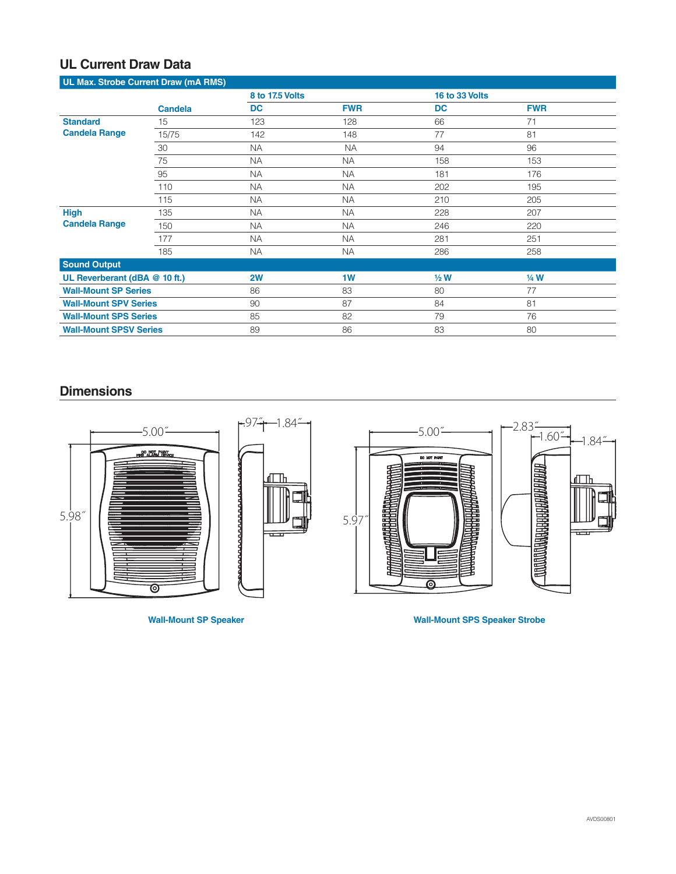# **UL Current Draw Data**

| UL Max. Strobe Current Draw (mA RMS)    |                |           |                 |           |                |  |
|-----------------------------------------|----------------|-----------|-----------------|-----------|----------------|--|
|                                         |                |           | 8 to 17.5 Volts |           | 16 to 33 Volts |  |
|                                         | <b>Candela</b> | <b>DC</b> | <b>FWR</b>      | <b>DC</b> | <b>FWR</b>     |  |
| <b>Standard</b><br><b>Candela Range</b> | 15             | 123       | 128             | 66        | 71             |  |
|                                         | 15/75          | 142       | 148             | 77        | 81             |  |
|                                         | 30             | <b>NA</b> | <b>NA</b>       | 94        | 96             |  |
|                                         | 75             | <b>NA</b> | <b>NA</b>       | 158       | 153            |  |
|                                         | 95             | <b>NA</b> | <b>NA</b>       | 181       | 176            |  |
|                                         | 110            | <b>NA</b> | <b>NA</b>       | 202       | 195            |  |
|                                         | 115            | <b>NA</b> | <b>NA</b>       | 210       | 205            |  |
| <b>High</b><br><b>Candela Range</b>     | 135            | <b>NA</b> | <b>NA</b>       | 228       | 207            |  |
|                                         | 150            | <b>NA</b> | <b>NA</b>       | 246       | 220            |  |
|                                         | 177            | <b>NA</b> | <b>NA</b>       | 281       | 251            |  |
|                                         | 185            | <b>NA</b> | <b>NA</b>       | 286       | 258            |  |
| <b>Sound Output</b>                     |                |           |                 |           |                |  |
| UL Reverberant (dBA @ 10 ft.)           |                | 2W        | 1W              | $1/2$ W   | 1/4 W          |  |
| <b>Wall-Mount SP Series</b>             |                | 86        | 83              | 80        | 77             |  |
| <b>Wall-Mount SPV Series</b>            |                | 90        | 87              | 84        | 81             |  |
| <b>Wall-Mount SPS Series</b>            |                | 85        | 82              | 79        | 76             |  |
| <b>Wall-Mount SPSV Series</b>           |                | 89        | 86              | 83        | 80             |  |

### **Dimensions**



**Wall-Mount SP Speaker Wall-Mount SPS Speaker Strobe**